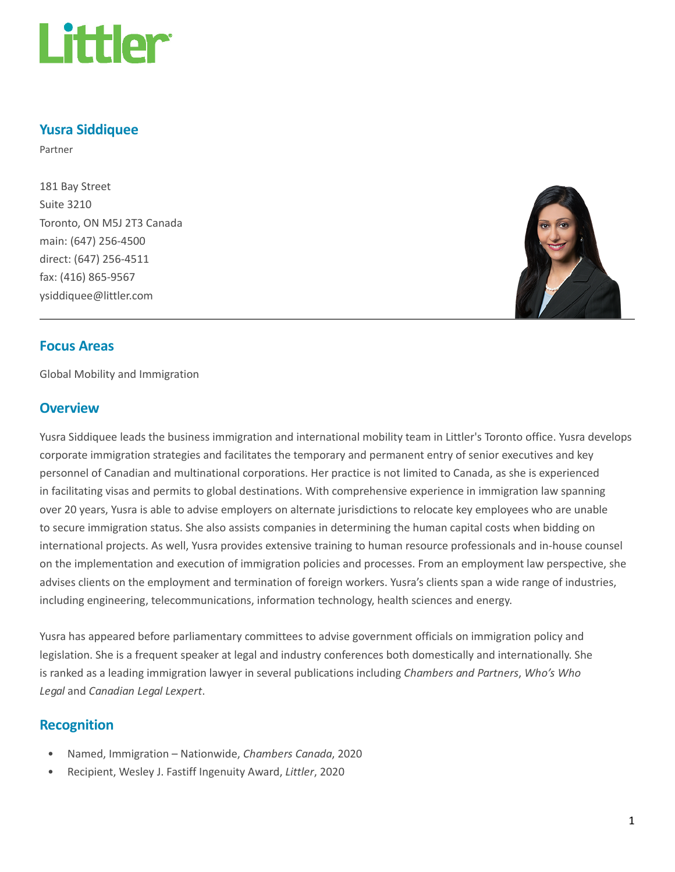

## Yusra Siddiquee

Partner

181 Bay Street Suite 3210 Toronto, ON M5J 2T3 Canada main: (647) 256-4500 direct: (647) 256-4511 fax: (416) 865-9567 ysiddiquee@littler.com



## Focus Areas

Global Mobility and Immigration

## **Overview**

Yusra Siddiquee leads the business immigration and international mobility team in Littler's Toronto office. Yusra develops corporate immigration strategies and facilitates the temporary and permanent entry of senior executives and key personnel of Canadian and multinational corporations. Her practice is not limited to Canada, as she is experienced in facilitating visas and permits to global destinations. With comprehensive experience in immigration law spanning over 20 years, Yusra is able to advise employers on alternate jurisdictions to relocate key employees who are unable to secure immigration status. She also assists companies in determining the human capital costs when bidding on international projects. As well, Yusra provides extensive training to human resource professionals and in-house counsel on the implementation and execution of immigration policies and processes. From an employment law perspective, she advises clients on the employment and termination of foreign workers. Yusra's clients span a wide range of industries, including engineering, telecommunications, information technology, health sciences and energy.

Yusra has appeared before parliamentary committees to advise government officials on immigration policy and legislation. She is a frequent speaker at legal and industry conferences both domestically and internationally. She is ranked as a leading immigration lawyer in several publications including Chambers and Partners, Who's Who Legal and Canadian Legal Lexpert.

## Recognition

- Named, Immigration Nationwide, Chambers Canada, 2020
- Recipient, Wesley J. Fastiff Ingenuity Award, Littler, 2020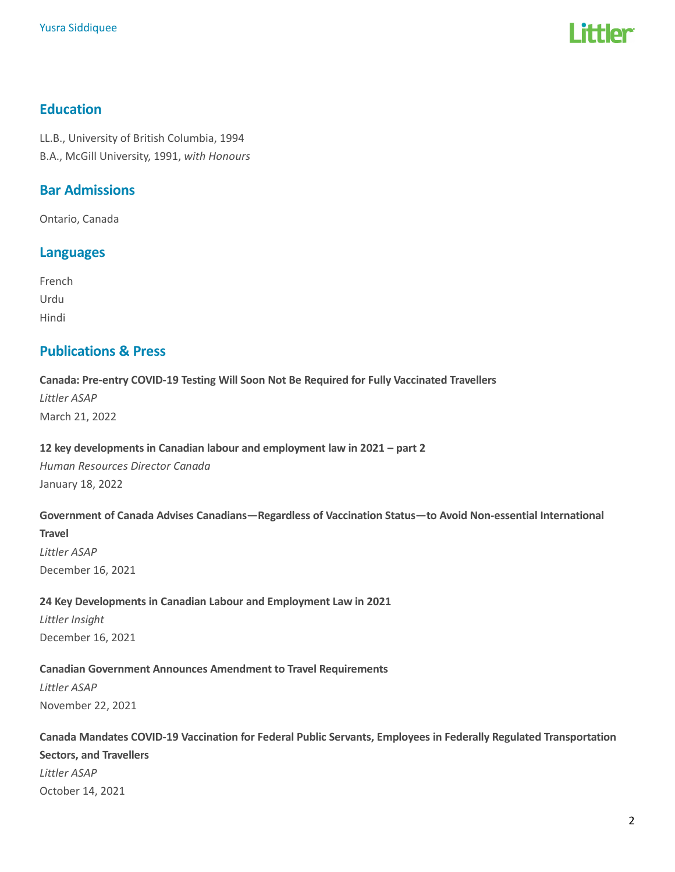

## Education

LL.B., University of British Columbia, 1994 B.A., McGill University, 1991, with Honours

## Bar Admissions

Ontario, Canada

## Languages

French Urdu Hindi

## Publications & Press

## Canada: Pre-entry COVID-19 Testing Will Soon Not Be Required for Fully Vaccinated Travellers Littler ASAP March 21, 2022

#### 12 key developments in Canadian labour and employment law in 2021 – part 2

Human Resources Director Canada January 18, 2022

#### Government of Canada Advises Canadians—Regardless of Vaccination Status—to Avoid Non-essential International

**Travel** 

Littler ASAP December 16, 2021

## 24 Key Developments in Canadian Labour and Employment Law in 2021

Littler Insight December 16, 2021

## Canadian Government Announces Amendment to Travel Requirements

Littler ASAP November 22, 2021

# Canada Mandates COVID-19 Vaccination for Federal Public Servants, Employees in Federally Regulated Transportation Sectors, and Travellers Littler ASAP October 14, 2021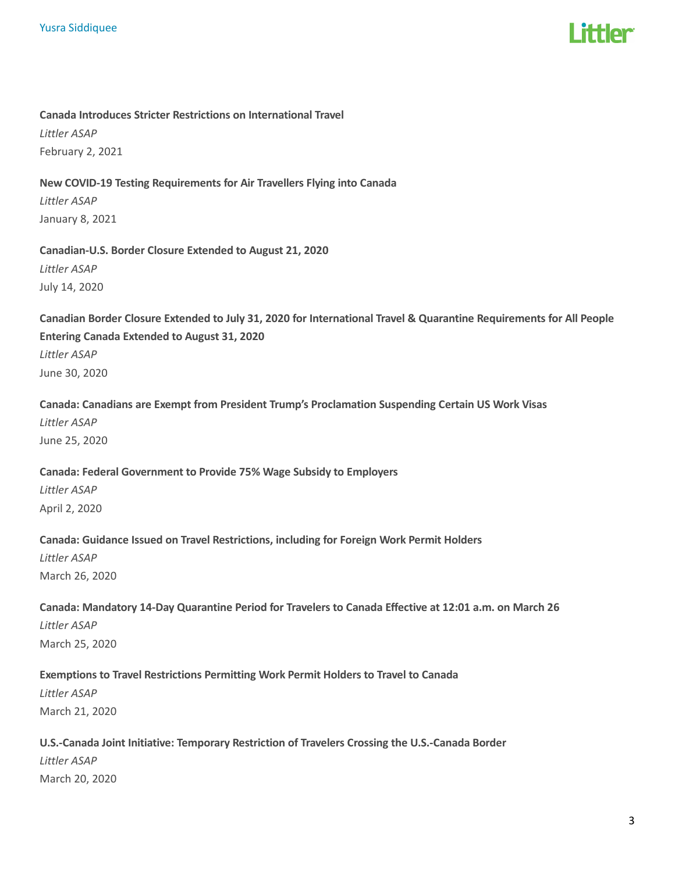

### Canada Introduces Stricter Restrictions on International Travel

Littler ASAP February 2, 2021

## New COVID-19 Testing Requirements for Air Travellers Flying into Canada

Littler ASAP January 8, 2021

## Canadian-U.S. Border Closure Extended to August 21, 2020 Littler ASAP July 14, 2020

Canadian Border Closure Extended to July 31, 2020 for International Travel & Quarantine Requirements for All People Entering Canada Extended to August 31, 2020 Littler ASAP June 30, 2020

Canada: Canadians are Exempt from President Trump's Proclamation Suspending Certain US Work Visas Littler ASAP June 25, 2020

### Canada: Federal Government to Provide 75% Wage Subsidy to Employers

Littler ASAP April 2, 2020

### Canada: Guidance Issued on Travel Restrictions, including for Foreign Work Permit Holders

Littler ASAP March 26, 2020

# Canada: Mandatory 14-Day Quarantine Period for Travelers to Canada Effective at 12:01 a.m. on March 26 Littler ASAP

March 25, 2020

## Exemptions to Travel Restrictions Permitting Work Permit Holders to Travel to Canada

Littler ASAP March 21, 2020

# U.S.-Canada Joint Initiative: Temporary Restriction of Travelers Crossing the U.S.-Canada Border

Littler ASAP March 20, 2020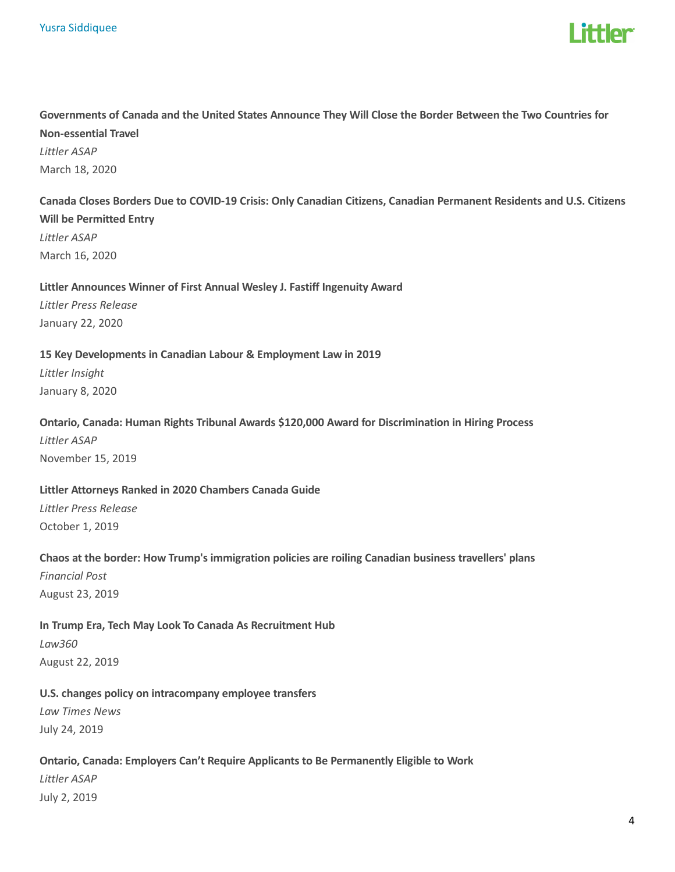

# Governments of Canada and the United States Announce They Will Close the Border Between the Two Countries for Non-essential Travel Littler ASAP March 18, 2020

## Canada Closes Borders Due to COVID-19 Crisis: Only Canadian Citizens, Canadian Permanent Residents and U.S. Citizens Will be Permitted Entry Littler ASAP

March 16, 2020

#### Littler Announces Winner of First Annual Wesley J. Fastiff Ingenuity Award

Littler Press Release January 22, 2020

#### 15 Key Developments in Canadian Labour & Employment Law in 2019

Littler Insight January 8, 2020

#### Ontario, Canada: Human Rights Tribunal Awards \$120,000 Award for Discrimination in Hiring Process

Littler ASAP November 15, 2019

### Littler Attorneys Ranked in 2020 Chambers Canada Guide

Littler Press Release October 1, 2019

## Chaos at the border: How Trump's immigration policies are roiling Canadian business travellers' plans

Financial Post August 23, 2019

### In Trump Era, Tech May Look To Canada As Recruitment Hub

Law360 August 22, 2019

### U.S. changes policy on intracompany employee transfers

Law Times News July 24, 2019

## Ontario, Canada: Employers Can't Require Applicants to Be Permanently Eligible to Work

Littler ASAP July 2, 2019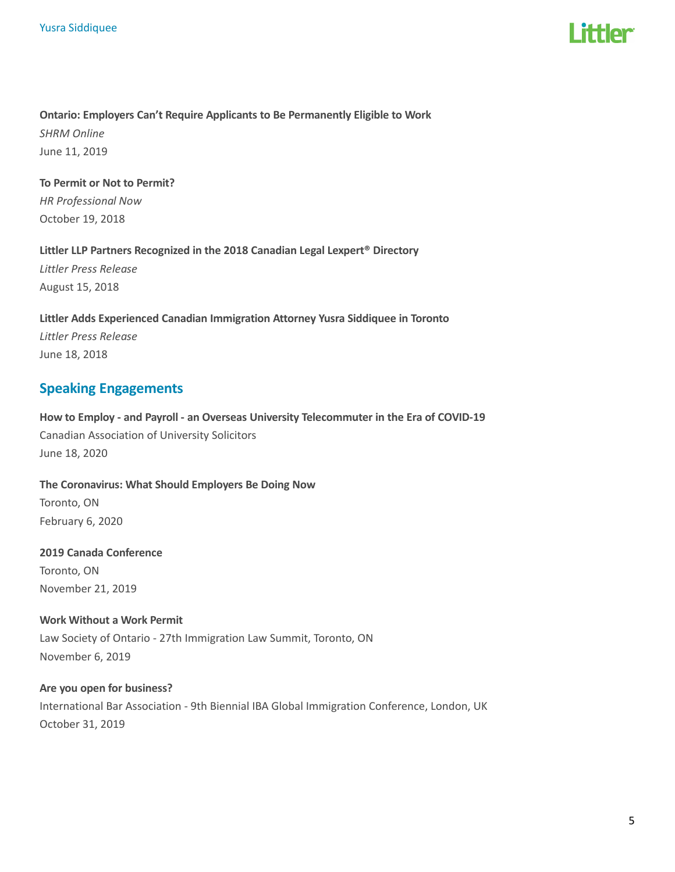

## Ontario: Employers Can't Require Applicants to Be Permanently Eligible to Work SHRM Online June 11, 2019

To Permit or Not to Permit? HR Professional Now October 19, 2018

Littler LLP Partners Recognized in the 2018 Canadian Legal Lexpert® Directory Littler Press Release August 15, 2018

Littler Adds Experienced Canadian Immigration Attorney Yusra Siddiquee in Toronto Littler Press Release June 18, 2018

## Speaking Engagements

How to Employ - and Payroll - an Overseas University Telecommuter in the Era of COVID-19 Canadian Association of University Solicitors June 18, 2020

The Coronavirus: What Should Employers Be Doing Now Toronto, ON February 6, 2020

#### 2019 Canada Conference

Toronto, ON November 21, 2019

### Work Without a Work Permit

Law Society of Ontario - 27th Immigration Law Summit, Toronto, ON November 6, 2019

#### Are you open for business?

International Bar Association - 9th Biennial IBA Global Immigration Conference, London, UK October 31, 2019